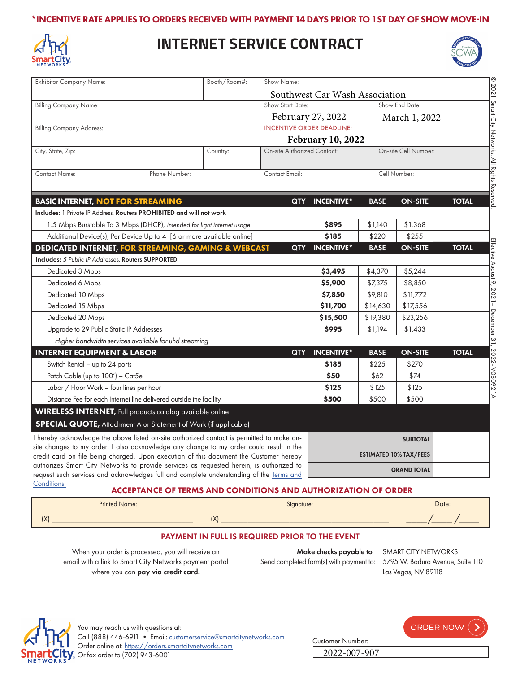## \*INCENTIVE RATE APPLIES TO ORDERS RECEIVED WITH PAYMENT 14 DAYS PRIOR TO 1ST DAY OF SHOW MOVE-IN



## **INTERNET SERVICE CONTRACT**



| <b>Exhibitor Company Name:</b>                                                                                                                                                      | Booth/Room#:                                                          |                          | Show Name:                       |                   |                      |                 |              |
|-------------------------------------------------------------------------------------------------------------------------------------------------------------------------------------|-----------------------------------------------------------------------|--------------------------|----------------------------------|-------------------|----------------------|-----------------|--------------|
|                                                                                                                                                                                     |                                                                       |                          | Southwest Car Wash Association   |                   |                      |                 |              |
| <b>Billing Company Name:</b>                                                                                                                                                        |                                                                       | Show Start Date:         |                                  |                   | Show End Date:       |                 |              |
|                                                                                                                                                                                     |                                                                       |                          |                                  | February 27, 2022 |                      | March 1, 2022   |              |
| <b>Billing Company Address:</b>                                                                                                                                                     |                                                                       |                          | <b>INCENTIVE ORDER DEADLINE:</b> |                   |                      |                 |              |
|                                                                                                                                                                                     |                                                                       | <b>February 10, 2022</b> |                                  |                   |                      |                 |              |
| City, State, Zip:                                                                                                                                                                   |                                                                       | Country:                 | On-site Authorized Contact:      |                   | On-site Cell Number: |                 |              |
| Contact Name:                                                                                                                                                                       | Phone Number:                                                         |                          | Contact Email:                   |                   | Cell Number:         |                 |              |
|                                                                                                                                                                                     |                                                                       |                          |                                  |                   |                      |                 |              |
| <b>BASIC INTERNET, NOT FOR STREAMING</b><br>Includes: 1 Private IP Address, Routers PROHIBITED and will not work                                                                    |                                                                       |                          | <b>QTY</b>                       | <b>INCENTIVE*</b> | <b>BASE</b>          | <b>ON-SITE</b>  | <b>TOTAL</b> |
| 1.5 Mbps Burstable To 3 Mbps (DHCP), Intended for light Internet usage                                                                                                              |                                                                       |                          |                                  | \$895             | \$1,140              | \$1,368         |              |
|                                                                                                                                                                                     | Additional Device(s), Per Device Up to 4 [6 or more available online] |                          |                                  | \$185             | \$220                | \$255           |              |
| <b>DEDICATED INTERNET, FOR STREAMING, GAMING &amp; WEBCAST</b>                                                                                                                      |                                                                       |                          | <b>QTY</b>                       | <b>INCENTIVE*</b> | <b>BASE</b>          | <b>ON-SITE</b>  | <b>TOTAL</b> |
| <b>Includes:</b> 5 Public IP Addresses, <b>Routers SUPPORTED</b>                                                                                                                    |                                                                       |                          |                                  |                   |                      |                 |              |
| Dedicated 3 Mbps                                                                                                                                                                    |                                                                       |                          |                                  | \$3,495           | \$4,370              | \$5,244         |              |
| Dedicated 6 Mbps                                                                                                                                                                    |                                                                       |                          |                                  | \$5,900           | \$7,375              | \$8,850         |              |
| Dedicated 10 Mbps                                                                                                                                                                   |                                                                       |                          |                                  | \$7,850           | \$9,810              | \$11,772        |              |
| Dedicated 15 Mbps                                                                                                                                                                   |                                                                       |                          |                                  | \$11,700          | \$14,630             | \$17,556        |              |
| Dedicated 20 Mbps                                                                                                                                                                   |                                                                       |                          |                                  | \$15,500          | \$19,380             | \$23,256        |              |
| Upgrade to 29 Public Static IP Addresses                                                                                                                                            |                                                                       |                          |                                  | \$995             | \$1,194              | \$1,433         |              |
| Higher bandwidth services available for uhd streaming                                                                                                                               |                                                                       |                          |                                  |                   |                      |                 |              |
| <b>INTERNET EQUIPMENT &amp; LABOR</b>                                                                                                                                               |                                                                       |                          | <b>QTY</b>                       | <b>INCENTIVE*</b> | <b>BASE</b>          | <b>ON-SITE</b>  | <b>TOTAL</b> |
| Switch Rental - up to 24 ports                                                                                                                                                      |                                                                       |                          |                                  | \$185             | \$225                | \$270           |              |
| Patch Cable (up to 100') - Cat5e                                                                                                                                                    |                                                                       |                          | \$50                             | \$62              | \$74                 |                 |              |
| Labor / Floor Work - four lines per hour                                                                                                                                            |                                                                       |                          |                                  | \$125             | \$125                | \$125           |              |
| Distance Fee for each Internet line delivered outside the facility                                                                                                                  |                                                                       |                          |                                  | \$500             | \$500                | \$500           |              |
| <b>WIRELESS INTERNET</b> , Full products catalog available online                                                                                                                   |                                                                       |                          |                                  |                   |                      |                 |              |
| <b>SPECIAL QUOTE, Attachment A or Statement of Work (if applicable)</b>                                                                                                             |                                                                       |                          |                                  |                   |                      |                 |              |
| I hereby acknowledge the above listed on-site authorized contact is permitted to make on-                                                                                           |                                                                       |                          |                                  |                   |                      | <b>SUBTOTAL</b> |              |
| site changes to my order. I also acknowledge any change to my order could result in the<br>credit card on file being charged. Upon execution of this document the Customer hereby   |                                                                       |                          | <b>ESTIMATED 10% TAX/FEES</b>    |                   |                      |                 |              |
| authorizes Smart City Networks to provide services as requested herein, is authorized to<br>request such services and acknowledges full and complete understanding of the Terms and |                                                                       |                          | <b>GRAND TOTAL</b>               |                   |                      |                 |              |

#### [Conditions.](https://cdn-public.smartcitynetworks.com/tcforms/099/TNC.pdf?ver=1628880143)

## ACCEPTANCE OF TERMS AND CONDITIONS AND AUTHORIZATION OF ORDER

| <b>Printed Name:</b> | Signature:                            | Date: |
|----------------------|---------------------------------------|-------|
| (X)                  | $\overline{\mathsf{v}}$<br>$\sqrt{ }$ | _____ |

#### PAYMENT IN FULL IS REQUIRED PRIOR TO THE EVENT

When your order is processed, you will receive an email with a link to Smart City Networks payment portal where you can pay via credit card.

Make checks payable to SMART CITY NETWORKS Send completed form(s) with payment to: 5795 W. Badura Avenue, Suite 110

Customer Number:

2022-007-907

Las Vegas, NV 89118



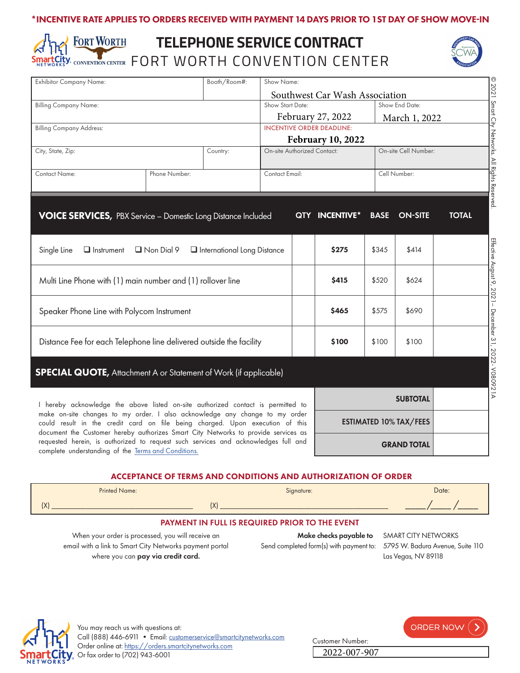## \*INCENTIVE RATE APPLIES TO ORDERS RECEIVED WITH PAYMENT 14 DAYS PRIOR TO 1ST DAY OF SHOW MOVE-IN

## **FORT WORTH TELEPHONE SERVICE CONTRACT** Smartscrity Convention Center FORT WORTH CONVENTION CENTER



I hereby acknowledge the above listed on-site authorized contact is permitted to make on-site changes to my order. I also acknowledge any change to my order could result in the credit card on file being charged. Upon execution of this document the Customer hereby authorizes Smart City Networks to provide services as requested herein, is authorized to request such services and acknowledges full and complete understanding of the [Terms and Conditions.](https://cdn-public.smartcitynetworks.com/tcforms/099/TNC.pdf?ver=1628880143)

| <b>SUBTOTAL</b>               |
|-------------------------------|
| <b>ESTIMATED 10% TAX/FEES</b> |
| <b>GRAND TOTAL</b>            |

## ACCEPTANCE OF TERMS AND CONDITIONS AND AUTHORIZATION OF ORDER

|                                                     | <b>Printed Name:</b> | Signature: | Date: |  |  |
|-----------------------------------------------------|----------------------|------------|-------|--|--|
|                                                     | (X)                  |            |       |  |  |
| PAYMENT IN FULL IS REQUIRED PRIOR TO THE EVENT<br>. |                      |            |       |  |  |

When your order is processed, you will receive an email with a link to Smart City Networks payment portal where you can pay via credit card.

Make checks payable to SMART CITY NETWORKS Send completed form(s) with payment to: 5795 W. Badura Avenue, Suite 110

Customer Number:

2022-007-907

Las Vegas, NV 89118

© 2021

Smart City Networks. All Rights Reserved.

Effective August 9, 2021– December 31, 2022- V080921A

Effective August 9, 2021- December 31, 2022- V080921A



ORDER NOW ()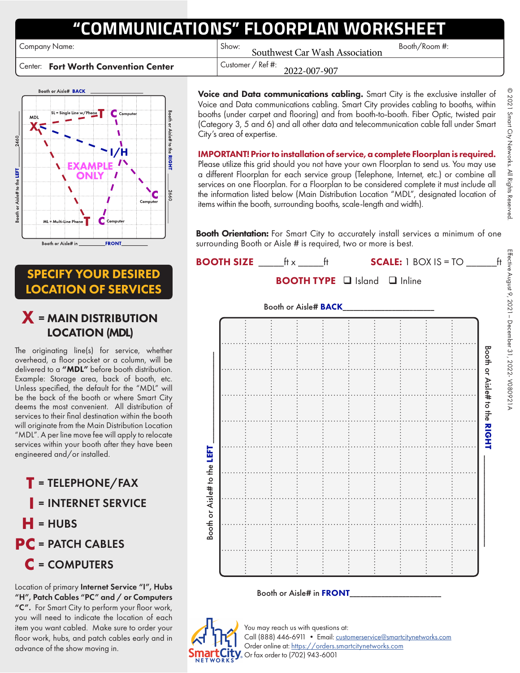# **"COMMUNICATIONS" FLOORPLAN WORKSHEET**

Company Name: Show: Booth/Room #:

Center: Fort Worth Convention Center  $\vert$  Customer / Ref #:

Booth or Aisle# BACK MD  $\frac{1}{9}$ Aisle# to the  $1/H$ **RIGHT** to the LEFT 1 Aisle# Com Booth or Aisle# in **FRONT** 

SPECIFY YOUR DESIRED LOCATION OF SERVICES

## X <sup>=</sup> MAIN DISTRIBUTION LOCATION (MDL)

The originating line(s) for service, whether overhead, a floor pocket or a column, will be delivered to a "MDL" before booth distribution. Example: Storage area, back of booth, etc. Unless specified, the default for the "MDL" will be the back of the booth or where Smart City deems the most convenient. All distribution of services to their final destination within the booth will originate from the Main Distribution Location "MDL". A per line move fee will apply to relocate services within your booth after they have been engineered and/or installed.

**T** <sup>=</sup>TELEPHONE/FAX **I** <sup>=</sup>INTERNET SERVICE  $=$ HUBS **PC** = PATCH CABLES **C** <sup>=</sup>COMPUTERS

Location of primary Internet Service "I", Hubs "H", Patch Cables "PC" and / or Computers "C". For Smart City to perform your floor work, you will need to indicate the location of each item you want cabled. Make sure to order your floor work, hubs, and patch cables early and in advance of the show moving in.

Voice and Data communications cabling. Smart City is the exclusive installer of Voice and Data communications cabling. Smart City provides cabling to booths, within booths (under carpet and flooring) and from booth-to-booth. Fiber Optic, twisted pair (Category 3, 5 and 6) and all other data and telecommunication cable fall under Smart City's area of expertise.

Southwest Car Wash Association

2022-007-907

IMPORTANT! Prior to installation of service, a complete Floorplan is required. Please utilize this grid should you not have your own Floorplan to send us. You may use a different Floorplan for each service group (Telephone, Internet, etc.) or combine all services on one Floorplan. For a Floorplan to be considered complete it must include all the information listed below (Main Distribution Location "MDL", designated location of items within the booth, surrounding booths, scale-length and width).

Booth Orientation: For Smart City to accurately install services a minimum of one surrounding Booth or Aisle # is required, two or more is best.



## Booth or Aisle# in FRONT



You may reach us with questions at: Call (888) 446-6911 • Email: [customerservice@smartcitynetworks.com](mailto:customerservice%40smartcitynetworks.com?subject=) Order online at:<https://orders.smartcitynetworks.com>  $\sqrt{\ }$  Or fax order to (702) 943-6001

© 2021